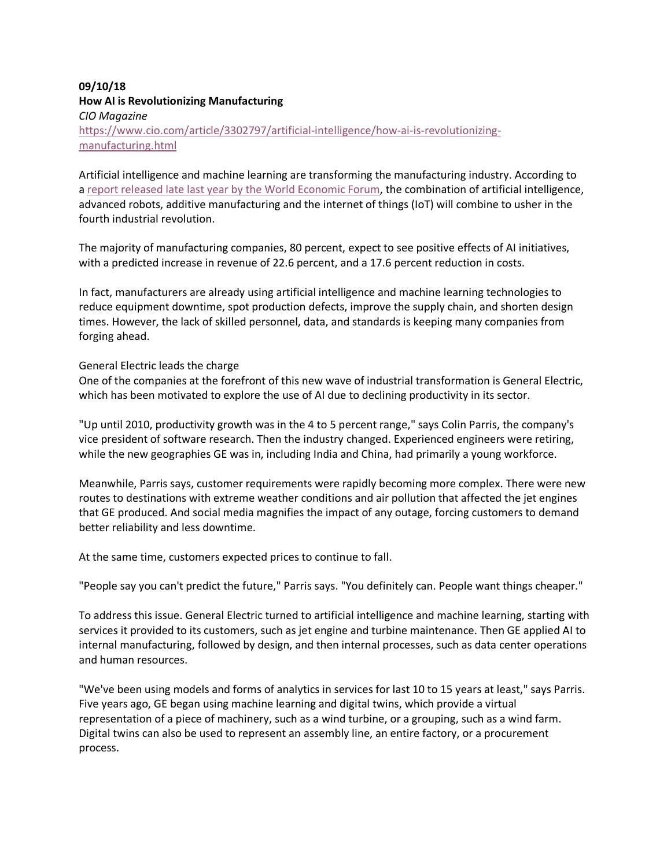## **09/10/18 How AI is Revolutionizing Manufacturing** *CIO Magazine* https://www.cio.com/article/3302797/artificial-intelligence/how-ai-is-revolutionizingmanufacturing.html

Artificial intelligence and machine learning are transforming the manufacturing industry. According to a report released late last year by the World Economic Forum, the combination of artificial intelligence, advanced robots, additive manufacturing and the internet of things (IoT) will combine to usher in the fourth industrial revolution.

The majority of manufacturing companies, 80 percent, expect to see positive effects of AI initiatives, with a predicted increase in revenue of 22.6 percent, and a 17.6 percent reduction in costs.

In fact, manufacturers are already using artificial intelligence and machine learning technologies to reduce equipment downtime, spot production defects, improve the supply chain, and shorten design times. However, the lack of skilled personnel, data, and standards is keeping many companies from forging ahead.

## General Electric leads the charge

One of the companies at the forefront of this new wave of industrial transformation is General Electric, which has been motivated to explore the use of AI due to declining productivity in its sector.

"Up until 2010, productivity growth was in the 4 to 5 percent range," says Colin Parris, the company's vice president of software research. Then the industry changed. Experienced engineers were retiring, while the new geographies GE was in, including India and China, had primarily a young workforce.

Meanwhile, Parris says, customer requirements were rapidly becoming more complex. There were new routes to destinations with extreme weather conditions and air pollution that affected the jet engines that GE produced. And social media magnifies the impact of any outage, forcing customers to demand better reliability and less downtime.

At the same time, customers expected prices to continue to fall.

"People say you can't predict the future," Parris says. "You definitely can. People want things cheaper."

To address this issue. General Electric turned to artificial intelligence and machine learning, starting with services it provided to its customers, such as jet engine and turbine maintenance. Then GE applied AI to internal manufacturing, followed by design, and then internal processes, such as data center operations and human resources.

"We've been using models and forms of analytics in services for last 10 to 15 years at least," says Parris. Five years ago, GE began using machine learning and digital twins, which provide a virtual representation of a piece of machinery, such as a wind turbine, or a grouping, such as a wind farm. Digital twins can also be used to represent an assembly line, an entire factory, or a procurement process.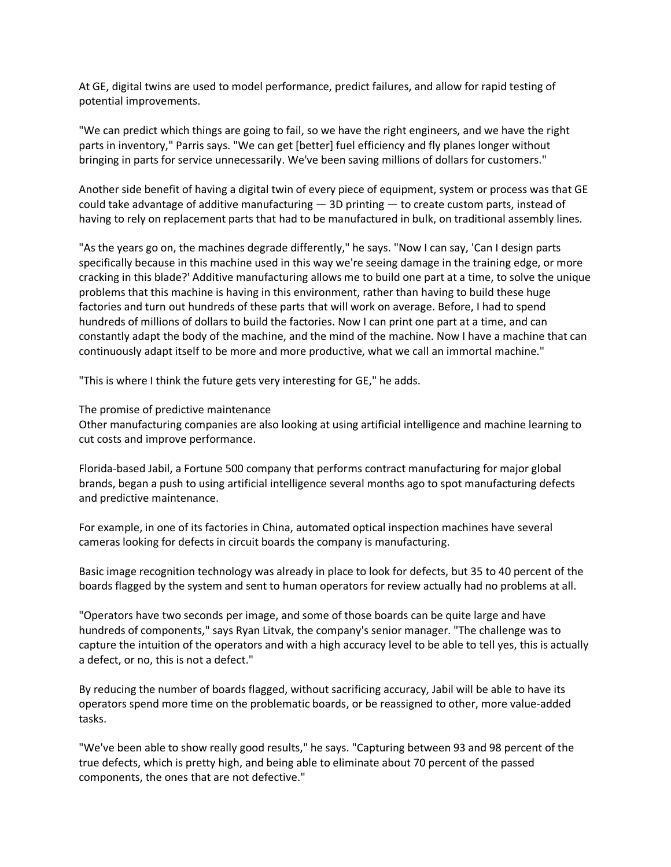At GE, digital twins are used to model performance, predict failures, and allow for rapid testing of potential improvements.

"We can predict which things are going to fail, so we have the right engineers, and we have the right parts in inventory," Parris says. "We can get [better] fuel efficiency and fly planes longer without bringing in parts for service unnecessarily. We've been saving millions of dollars for customers."

Another side benefit of having a digital twin of every piece of equipment, system or process was that GE could take advantage of additive manufacturing — 3D printing — to create custom parts, instead of having to rely on replacement parts that had to be manufactured in bulk, on traditional assembly lines.

"As the years go on, the machines degrade differently," he says. "Now I can say, 'Can I design parts specifically because in this machine used in this way we're seeing damage in the training edge, or more cracking in this blade?' Additive manufacturing allows me to build one part at a time, to solve the unique problems that this machine is having in this environment, rather than having to build these huge factories and turn out hundreds of these parts that will work on average. Before, I had to spend hundreds of millions of dollars to build the factories. Now I can print one part at a time, and can constantly adapt the body of the machine, and the mind of the machine. Now I have a machine that can continuously adapt itself to be more and more productive, what we call an immortal machine."

"This is where I think the future gets very interesting for GE," he adds.

The promise of predictive maintenance

Other manufacturing companies are also looking at using artificial intelligence and machine learning to cut costs and improve performance.

Florida-based Jabil, a Fortune 500 company that performs contract manufacturing for major global brands, began a push to using artificial intelligence several months ago to spot manufacturing defects and predictive maintenance.

For example, in one of its factories in China, automated optical inspection machines have several cameras looking for defects in circuit boards the company is manufacturing.

Basic image recognition technology was already in place to look for defects, but 35 to 40 percent of the boards flagged by the system and sent to human operators for review actually had no problems at all.

"Operators have two seconds per image, and some of those boards can be quite large and have hundreds of components," says Ryan Litvak, the company's senior manager. "The challenge was to capture the intuition of the operators and with a high accuracy level to be able to tell yes, this is actually a defect, or no, this is not a defect."

By reducing the number of boards flagged, without sacrificing accuracy, Jabil will be able to have its operators spend more time on the problematic boards, or be reassigned to other, more value-added tasks.

"We've been able to show really good results," he says. "Capturing between 93 and 98 percent of the true defects, which is pretty high, and being able to eliminate about 70 percent of the passed components, the ones that are not defective."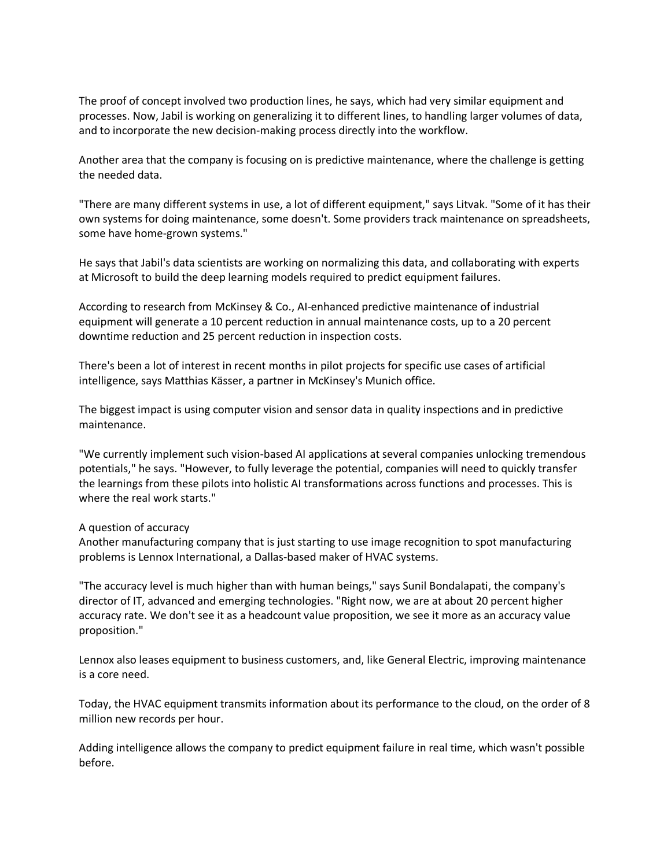The proof of concept involved two production lines, he says, which had very similar equipment and processes. Now, Jabil is working on generalizing it to different lines, to handling larger volumes of data, and to incorporate the new decision-making process directly into the workflow.

Another area that the company is focusing on is predictive maintenance, where the challenge is getting the needed data.

"There are many different systems in use, a lot of different equipment," says Litvak. "Some of it has their own systems for doing maintenance, some doesn't. Some providers track maintenance on spreadsheets, some have home-grown systems."

He says that Jabil's data scientists are working on normalizing this data, and collaborating with experts at Microsoft to build the deep learning models required to predict equipment failures.

According to research from McKinsey & Co., AI-enhanced predictive maintenance of industrial equipment will generate a 10 percent reduction in annual maintenance costs, up to a 20 percent downtime reduction and 25 percent reduction in inspection costs.

There's been a lot of interest in recent months in pilot projects for specific use cases of artificial intelligence, says Matthias Kässer, a partner in McKinsey's Munich office.

The biggest impact is using computer vision and sensor data in quality inspections and in predictive maintenance.

"We currently implement such vision-based AI applications at several companies unlocking tremendous potentials," he says. "However, to fully leverage the potential, companies will need to quickly transfer the learnings from these pilots into holistic AI transformations across functions and processes. This is where the real work starts."

## A question of accuracy

Another manufacturing company that is just starting to use image recognition to spot manufacturing problems is Lennox International, a Dallas-based maker of HVAC systems.

"The accuracy level is much higher than with human beings," says Sunil Bondalapati, the company's director of IT, advanced and emerging technologies. "Right now, we are at about 20 percent higher accuracy rate. We don't see it as a headcount value proposition, we see it more as an accuracy value proposition."

Lennox also leases equipment to business customers, and, like General Electric, improving maintenance is a core need.

Today, the HVAC equipment transmits information about its performance to the cloud, on the order of 8 million new records per hour.

Adding intelligence allows the company to predict equipment failure in real time, which wasn't possible before.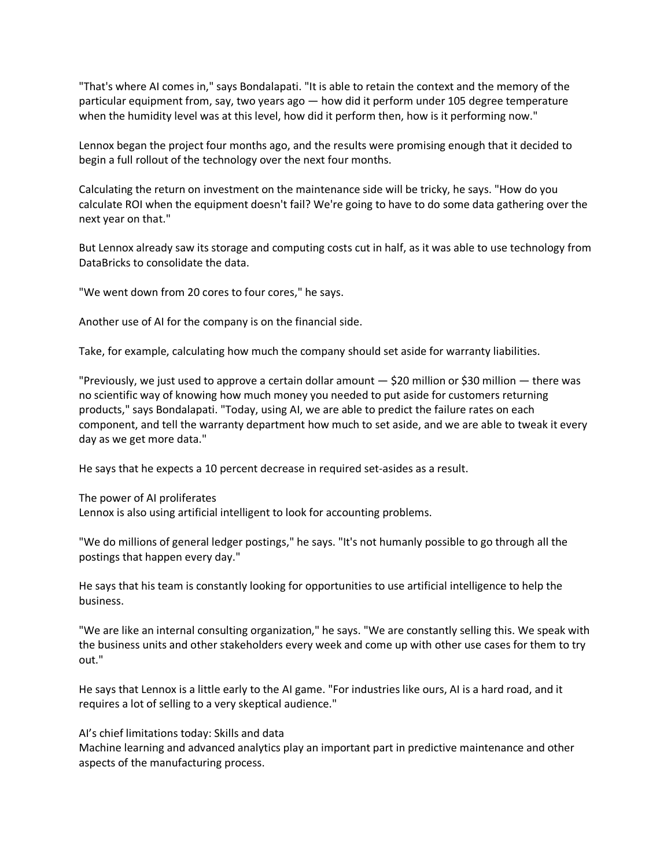"That's where AI comes in," says Bondalapati. "It is able to retain the context and the memory of the particular equipment from, say, two years ago — how did it perform under 105 degree temperature when the humidity level was at this level, how did it perform then, how is it performing now."

Lennox began the project four months ago, and the results were promising enough that it decided to begin a full rollout of the technology over the next four months.

Calculating the return on investment on the maintenance side will be tricky, he says. "How do you calculate ROI when the equipment doesn't fail? We're going to have to do some data gathering over the next year on that."

But Lennox already saw its storage and computing costs cut in half, as it was able to use technology from DataBricks to consolidate the data.

"We went down from 20 cores to four cores," he says.

Another use of AI for the company is on the financial side.

Take, for example, calculating how much the company should set aside for warranty liabilities.

"Previously, we just used to approve a certain dollar amount  $-$  \$20 million or \$30 million  $-$  there was no scientific way of knowing how much money you needed to put aside for customers returning products," says Bondalapati. "Today, using AI, we are able to predict the failure rates on each component, and tell the warranty department how much to set aside, and we are able to tweak it every day as we get more data."

He says that he expects a 10 percent decrease in required set-asides as a result.

The power of AI proliferates Lennox is also using artificial intelligent to look for accounting problems.

"We do millions of general ledger postings," he says. "It's not humanly possible to go through all the postings that happen every day."

He says that his team is constantly looking for opportunities to use artificial intelligence to help the business.

"We are like an internal consulting organization," he says. "We are constantly selling this. We speak with the business units and other stakeholders every week and come up with other use cases for them to try out."

He says that Lennox is a little early to the AI game. "For industries like ours, AI is a hard road, and it requires a lot of selling to a very skeptical audience."

AI's chief limitations today: Skills and data

Machine learning and advanced analytics play an important part in predictive maintenance and other aspects of the manufacturing process.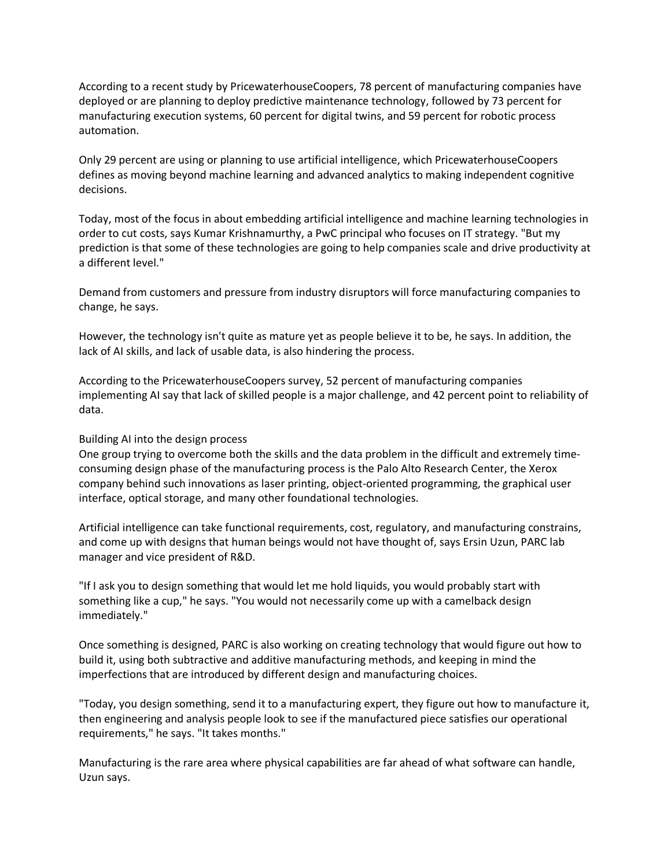According to a recent study by PricewaterhouseCoopers, 78 percent of manufacturing companies have deployed or are planning to deploy predictive maintenance technology, followed by 73 percent for manufacturing execution systems, 60 percent for digital twins, and 59 percent for robotic process automation.

Only 29 percent are using or planning to use artificial intelligence, which PricewaterhouseCoopers defines as moving beyond machine learning and advanced analytics to making independent cognitive decisions.

Today, most of the focus in about embedding artificial intelligence and machine learning technologies in order to cut costs, says Kumar Krishnamurthy, a PwC principal who focuses on IT strategy. "But my prediction is that some of these technologies are going to help companies scale and drive productivity at a different level."

Demand from customers and pressure from industry disruptors will force manufacturing companies to change, he says.

However, the technology isn't quite as mature yet as people believe it to be, he says. In addition, the lack of AI skills, and lack of usable data, is also hindering the process.

According to the PricewaterhouseCoopers survey, 52 percent of manufacturing companies implementing AI say that lack of skilled people is a major challenge, and 42 percent point to reliability of data.

## Building AI into the design process

One group trying to overcome both the skills and the data problem in the difficult and extremely timeconsuming design phase of the manufacturing process is the Palo Alto Research Center, the Xerox company behind such innovations as laser printing, object-oriented programming, the graphical user interface, optical storage, and many other foundational technologies.

Artificial intelligence can take functional requirements, cost, regulatory, and manufacturing constrains, and come up with designs that human beings would not have thought of, says Ersin Uzun, PARC lab manager and vice president of R&D.

"If I ask you to design something that would let me hold liquids, you would probably start with something like a cup," he says. "You would not necessarily come up with a camelback design immediately."

Once something is designed, PARC is also working on creating technology that would figure out how to build it, using both subtractive and additive manufacturing methods, and keeping in mind the imperfections that are introduced by different design and manufacturing choices.

"Today, you design something, send it to a manufacturing expert, they figure out how to manufacture it, then engineering and analysis people look to see if the manufactured piece satisfies our operational requirements," he says. "It takes months."

Manufacturing is the rare area where physical capabilities are far ahead of what software can handle, Uzun says.